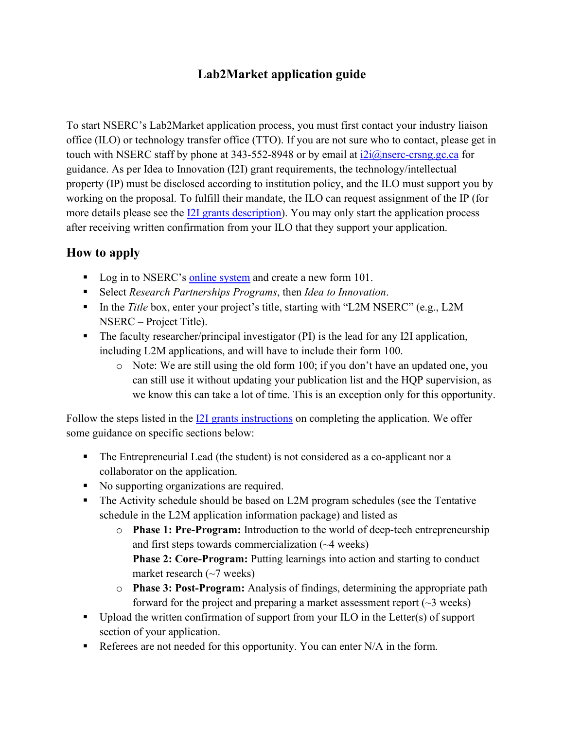## **Lab2Market application guide**

To start NSERC's Lab2Market application process, you must first contact your industry liaison office (ILO) or technology transfer office (TTO). If you are not sure who to contact, please get in touch with NSERC staff by phone at 343-552-8948 or by email at  $i2i@nserc-crsng.gc.ca$  for guidance. As per Idea to Innovation (I2I) grant requirements, the technology/intellectual property (IP) must be disclosed according to institution policy, and the ILO must support you by working on the proposal. To fulfill their mandate, the ILO can request assignment of the IP (for more details please see the [I2I grants description\)](https://www.nserc-crsng.gc.ca/Professors-Professeurs/RPP-PP/I2I-Innov_eng.asp). You may only start the application process after receiving written confirmation from your ILO that they support your application.

## **How to apply**

- Log in to NSERC's [online system](https://ebiz.nserc.ca/nserc_web/nserc_login_e.htm) and create a new form 101.
- Select *Research Partnerships Programs*, then *Idea to Innovation*.
- In the *Title* box, enter your project's title, starting with "L2M NSERC" (e.g., L2M NSERC – Project Title).
- The faculty researcher/principal investigator (PI) is the lead for any I2I application, including L2M applications, and will have to include their form 100.
	- o Note: We are still using the old form 100; if you don't have an updated one, you can still use it without updating your publication list and the HQP supervision, as we know this can take a lot of time. This is an exception only for this opportunity.

Follow the steps listed in the [I2I grants instructions](https://www.nserc-crsng.gc.ca/OnlineServices-ServicesEnLigne/instructions/101/i2i_eng.asp) on completing the application. We offer some guidance on specific sections below:

- The Entrepreneurial Lead (the student) is not considered as a co-applicant nor a collaborator on the application.
- No supporting organizations are required.
- The Activity schedule should be based on L2M program schedules (see the Tentative schedule in the L2M application information package) and listed as
	- o **Phase 1: Pre-Program:** Introduction to the world of deep-tech entrepreneurship and first steps towards commercialization (~4 weeks) **Phase 2: Core-Program:** Putting learnings into action and starting to conduct market research  $(\sim 7$  weeks)
	- o **Phase 3: Post-Program:** Analysis of findings, determining the appropriate path forward for the project and preparing a market assessment report  $(\sim 3$  weeks)
- Upload the written confirmation of support from your ILO in the Letter(s) of support section of your application.
- Referees are not needed for this opportunity. You can enter  $N/A$  in the form.